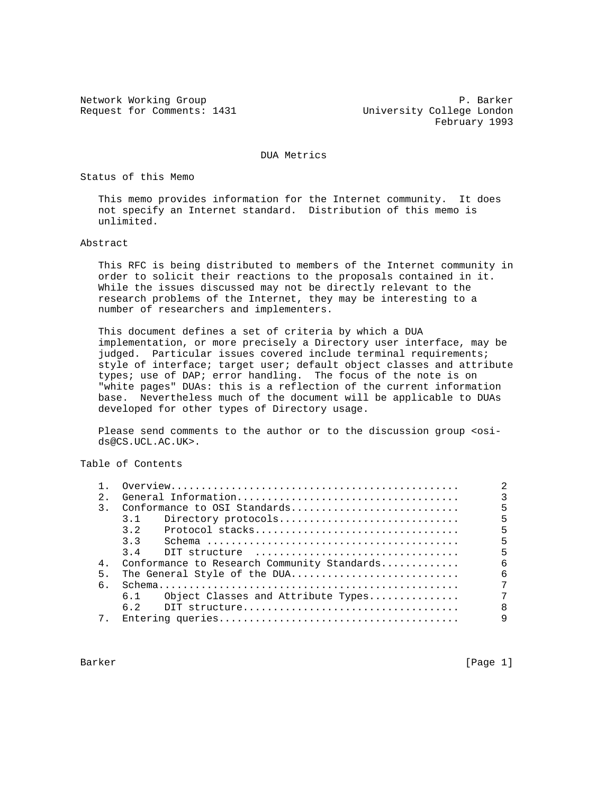Request for Comments: 1431 University College London

Network Working Group **P. Barker** February 1993

DUA Metrics

Status of this Memo

 This memo provides information for the Internet community. It does not specify an Internet standard. Distribution of this memo is unlimited.

Abstract

 This RFC is being distributed to members of the Internet community in order to solicit their reactions to the proposals contained in it. While the issues discussed may not be directly relevant to the research problems of the Internet, they may be interesting to a number of researchers and implementers.

 This document defines a set of criteria by which a DUA implementation, or more precisely a Directory user interface, may be judged. Particular issues covered include terminal requirements; style of interface; target user; default object classes and attribute types; use of DAP; error handling. The focus of the note is on "white pages" DUAs: this is a reflection of the current information base. Nevertheless much of the document will be applicable to DUAs developed for other types of Directory usage.

Please send comments to the author or to the discussion group <osids@CS.UCL.AC.UK>.

Table of Contents

| 2.             |                                                                                                       |              |
|----------------|-------------------------------------------------------------------------------------------------------|--------------|
| 3.             | Conformance to OSI Standards                                                                          | 5            |
|                | Directory protocols<br>3.1                                                                            | 5            |
|                | 32<br>Protocol stacks                                                                                 | 5            |
|                | 33                                                                                                    | 5            |
|                | $3\quad 4$<br>$\text{DIT}$ structure $\ldots \ldots \ldots \ldots \ldots \ldots \ldots \ldots \ldots$ | 5            |
| 4 <sub>1</sub> | Conformance to Research Community Standards                                                           | 6            |
| 5.             | The General Style of the DUA                                                                          | 6            |
| б.             |                                                                                                       |              |
|                | 6.1 Object Classes and Attribute Types                                                                |              |
|                |                                                                                                       | $\mathsf{R}$ |
|                |                                                                                                       | 9            |
|                |                                                                                                       |              |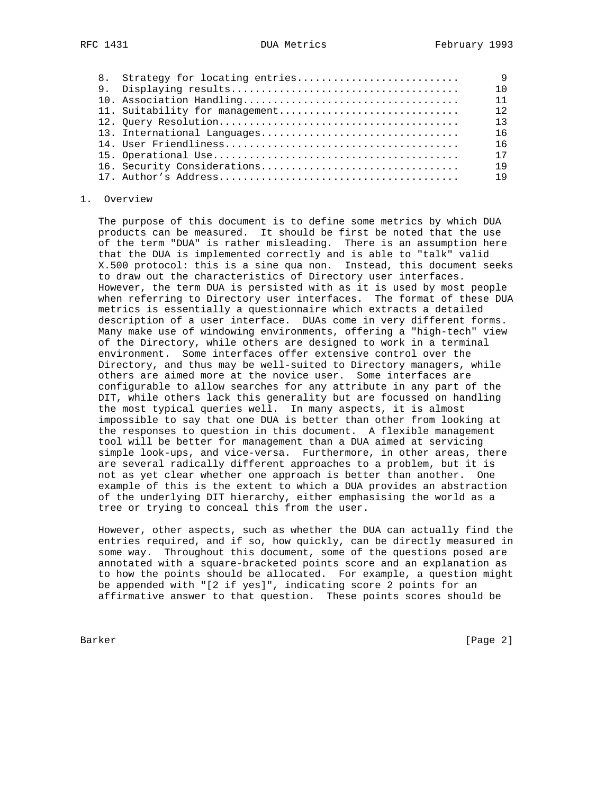| 8. Strategy for locating entries |    |
|----------------------------------|----|
|                                  |    |
|                                  |    |
| 11. Suitability for management   | 12 |
|                                  | 13 |
|                                  | 16 |
|                                  | 16 |
|                                  | 17 |
|                                  | 19 |
|                                  | 19 |

#### 1. Overview

 The purpose of this document is to define some metrics by which DUA products can be measured. It should be first be noted that the use of the term "DUA" is rather misleading. There is an assumption here that the DUA is implemented correctly and is able to "talk" valid X.500 protocol: this is a sine qua non. Instead, this document seeks to draw out the characteristics of Directory user interfaces. However, the term DUA is persisted with as it is used by most people when referring to Directory user interfaces. The format of these DUA metrics is essentially a questionnaire which extracts a detailed description of a user interface. DUAs come in very different forms. Many make use of windowing environments, offering a "high-tech" view of the Directory, while others are designed to work in a terminal environment. Some interfaces offer extensive control over the Directory, and thus may be well-suited to Directory managers, while others are aimed more at the novice user. Some interfaces are configurable to allow searches for any attribute in any part of the DIT, while others lack this generality but are focussed on handling the most typical queries well. In many aspects, it is almost impossible to say that one DUA is better than other from looking at the responses to question in this document. A flexible management tool will be better for management than a DUA aimed at servicing simple look-ups, and vice-versa. Furthermore, in other areas, there are several radically different approaches to a problem, but it is not as yet clear whether one approach is better than another. One example of this is the extent to which a DUA provides an abstraction of the underlying DIT hierarchy, either emphasising the world as a tree or trying to conceal this from the user.

 However, other aspects, such as whether the DUA can actually find the entries required, and if so, how quickly, can be directly measured in some way. Throughout this document, some of the questions posed are annotated with a square-bracketed points score and an explanation as to how the points should be allocated. For example, a question might be appended with "[2 if yes]", indicating score 2 points for an affirmative answer to that question. These points scores should be

Barker [Page 2]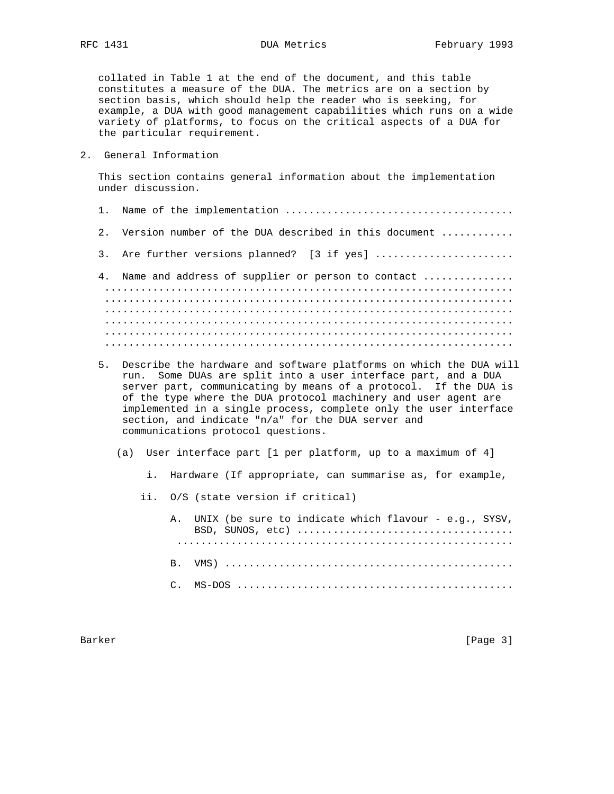collated in Table 1 at the end of the document, and this table constitutes a measure of the DUA. The metrics are on a section by section basis, which should help the reader who is seeking, for example, a DUA with good management capabilities which runs on a wide variety of platforms, to focus on the critical aspects of a DUA for the particular requirement.

2. General Information

 This section contains general information about the implementation under discussion.

- 1. Name of the implementation ......................................
- 2. Version number of the DUA described in this document ............
- 3. Are further versions planned? [3 if yes] ......................
- 4. Name and address of supplier or person to contact .............. .................................................................... .................................................................... .................................................................... .................................................................... .................................................................... ....................................................................
- 5. Describe the hardware and software platforms on which the DUA will run. Some DUAs are split into a user interface part, and a DUA server part, communicating by means of a protocol. If the DUA is of the type where the DUA protocol machinery and user agent are implemented in a single process, complete only the user interface section, and indicate "n/a" for the DUA server and communications protocol questions.
	- (a) User interface part [1 per platform, up to a maximum of 4]
		- i. Hardware (If appropriate, can summarise as, for example,
		- ii. O/S (state version if critical)
			- A. UNIX (be sure to indicate which flavour e.g., SYSV, BSD, SUNOS, etc) .................................... ........................................................ B. VMS) ................................................ C. MS-DOS ..............................................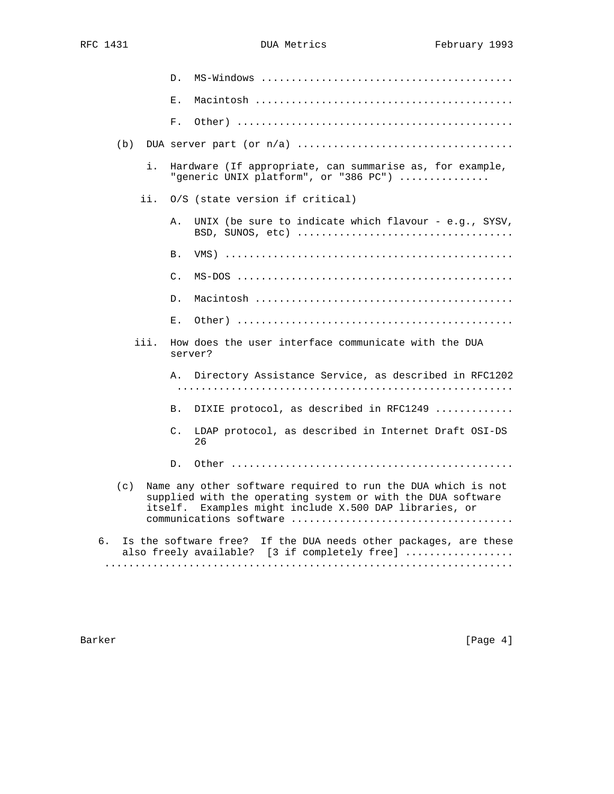|    |     |      | D.             |                                                                                                                                                                                       |
|----|-----|------|----------------|---------------------------------------------------------------------------------------------------------------------------------------------------------------------------------------|
|    |     |      | Ε.             |                                                                                                                                                                                       |
|    |     |      | F.             |                                                                                                                                                                                       |
|    | (b) |      |                |                                                                                                                                                                                       |
|    |     | i.   |                | Hardware (If appropriate, can summarise as, for example,<br>"generic UNIX platform", or "386 PC")                                                                                     |
|    |     | ii.  |                | 0/S (state version if critical)                                                                                                                                                       |
|    |     |      | Α.             | UNIX (be sure to indicate which flavour - e.g., SYSV,                                                                                                                                 |
|    |     |      | B.             |                                                                                                                                                                                       |
|    |     |      | C.             |                                                                                                                                                                                       |
|    |     |      | D.             |                                                                                                                                                                                       |
|    |     |      | Ε.             |                                                                                                                                                                                       |
|    |     | iii. |                | How does the user interface communicate with the DUA<br>server?                                                                                                                       |
|    |     |      |                | A. Directory Assistance Service, as described in RFC1202                                                                                                                              |
|    |     |      | B.             | DIXIE protocol, as described in RFC1249                                                                                                                                               |
|    |     |      | $\mathsf{C}$ . | LDAP protocol, as described in Internet Draft OSI-DS<br>26                                                                                                                            |
|    |     |      | D.             |                                                                                                                                                                                       |
|    | (c) |      |                | Name any other software required to run the DUA which is not<br>supplied with the operating system or with the DUA software<br>itself. Examples might include X.500 DAP libraries, or |
| б. |     |      |                | Is the software free? If the DUA needs other packages, are these<br>also freely available? [3 if completely free]                                                                     |
|    |     |      |                |                                                                                                                                                                                       |

Barker [Page 4]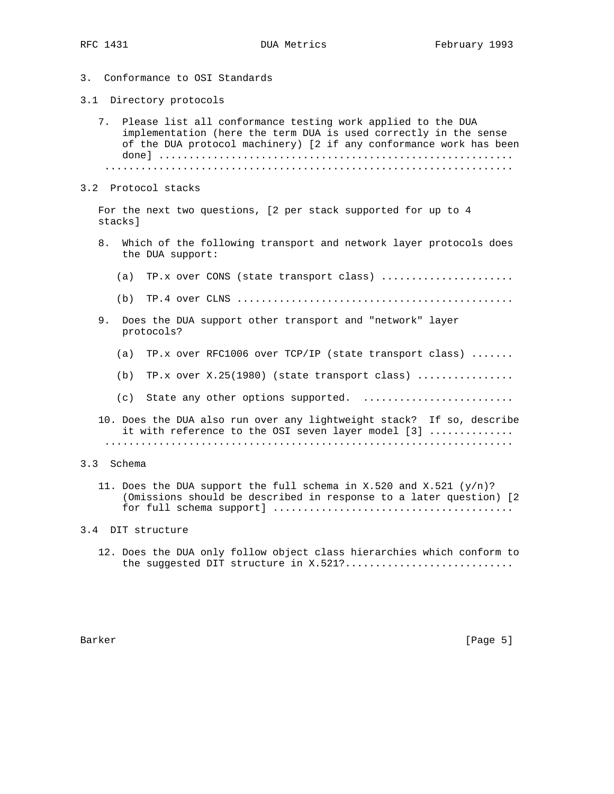- 3. Conformance to OSI Standards
- 3.1 Directory protocols
	- 7. Please list all conformance testing work applied to the DUA implementation (here the term DUA is used correctly in the sense of the DUA protocol machinery) [2 if any conformance work has been done] ........................................................... ....................................................................
- 3.2 Protocol stacks

 For the next two questions, [2 per stack supported for up to 4 stacks]

- 8. Which of the following transport and network layer protocols does the DUA support:
	- (a) TP.x over CONS (state transport class) ......................
	- (b) TP.4 over CLNS ..............................................
- 9. Does the DUA support other transport and "network" layer protocols?
	- (a) TP.x over RFC1006 over TCP/IP (state transport class) .......
	- (b) TP.x over  $X.25(1980)$  (state transport class) ...............
	- (c) State any other options supported. .........................
- 10. Does the DUA also run over any lightweight stack? If so, describe it with reference to the OSI seven layer model [3] .............. ....................................................................
- 3.3 Schema
	- 11. Does the DUA support the full schema in X.520 and X.521  $(y/n)$ ? (Omissions should be described in response to a later question) [2 for full schema support] ........................................
- 3.4 DIT structure
	- 12. Does the DUA only follow object class hierarchies which conform to the suggested DIT structure in X.521?.............................

Barker [Page 5] [Page 5] [Page 5] [Page 5] [Page 5] [Page 5] [Page 5] [Page 5] [Page 5] [Page 5] [Page 5] [Page 5] [Page 5] [Page 5] [Page 5] [Page 5] [Page 5] [Page 5] [Page 5] [Page 5] [Page 5] [Page 5] [Page 5] [Page 5]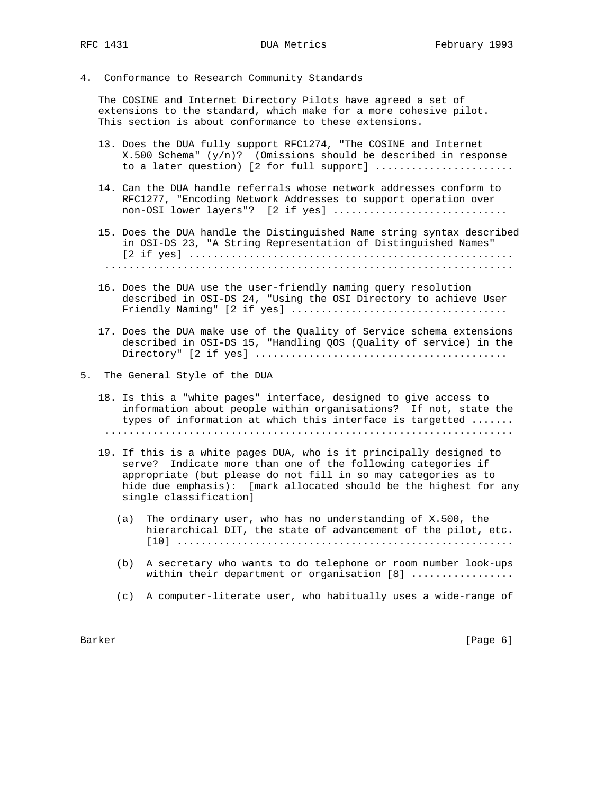4. Conformance to Research Community Standards

 The COSINE and Internet Directory Pilots have agreed a set of extensions to the standard, which make for a more cohesive pilot. This section is about conformance to these extensions.

- 13. Does the DUA fully support RFC1274, "The COSINE and Internet X.500 Schema" (y/n)? (Omissions should be described in response to a later question) [2 for full support] .......................
- 14. Can the DUA handle referrals whose network addresses conform to RFC1277, "Encoding Network Addresses to support operation over non-OSI lower layers"? [2 if yes] ................................
- 15. Does the DUA handle the Distinguished Name string syntax described in OSI-DS 23, "A String Representation of Distinguished Names" [2 if yes] ...................................................... ....................................................................
- 16. Does the DUA use the user-friendly naming query resolution described in OSI-DS 24, "Using the OSI Directory to achieve User Friendly Naming" [2 if yes] ....................................
- 17. Does the DUA make use of the Quality of Service schema extensions described in OSI-DS 15, "Handling QOS (Quality of service) in the Directory" [2 if yes] ..........................................
- 5. The General Style of the DUA
	- 18. Is this a "white pages" interface, designed to give access to information about people within organisations? If not, state the types of information at which this interface is targetted ....... ....................................................................
	- 19. If this is a white pages DUA, who is it principally designed to serve? Indicate more than one of the following categories if appropriate (but please do not fill in so may categories as to hide due emphasis): [mark allocated should be the highest for any single classification]
		- (a) The ordinary user, who has no understanding of X.500, the hierarchical DIT, the state of advancement of the pilot, etc. [10] ........................................................
		- (b) A secretary who wants to do telephone or room number look-ups within their department or organisation [8] .................
		- (c) A computer-literate user, who habitually uses a wide-range of

Barker [Page 6] [Page 6] [Page 6] [Page 6] [Page 6] [Page 6] [Page 6] [Page 6] [Page 6] [Page 6] [Page 6] [Page 6] [Page 6] [Page 6] [Page 6] [Page 6] [Page 6] [Page 6] [Page 6] [Page 6] [Page 6] [Page 6] [Page 6] [Page 6]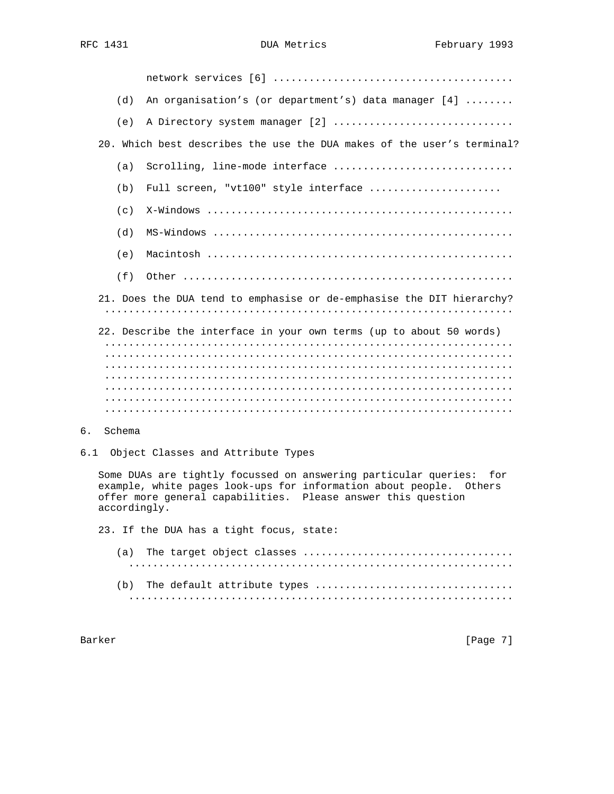network services [6] ........................................ (d) An organisation's (or department's) data manager [4] ........ (e) A Directory system manager [2] ............................... 20. Which best describes the use the DUA makes of the user's terminal? (a) Scrolling, line-mode interface  $\dots\dots\dots\dots\dots\dots\dots\dots\dots\dots\dots\dots\dots$ (b) Full screen, "vt100" style interface ..................... (c) X-Windows ................................................... (d) MS-Windows .................................................. (e) Macintosh ................................................... (f) Other ....................................................... 21. Does the DUA tend to emphasise or de-emphasise the DIT hierarchy? .................................................................... 22. Describe the interface in your own terms (up to about 50 words) .................................................................... .................................................................... .................................................................... .................................................................... .................................................................... .................................................................... ....................................................................

- 6. Schema
- 6.1 Object Classes and Attribute Types

 Some DUAs are tightly focussed on answering particular queries: for example, white pages look-ups for information about people. Others offer more general capabilities. Please answer this question accordingly.

23. If the DUA has a tight focus, state:

Barker [Page 7]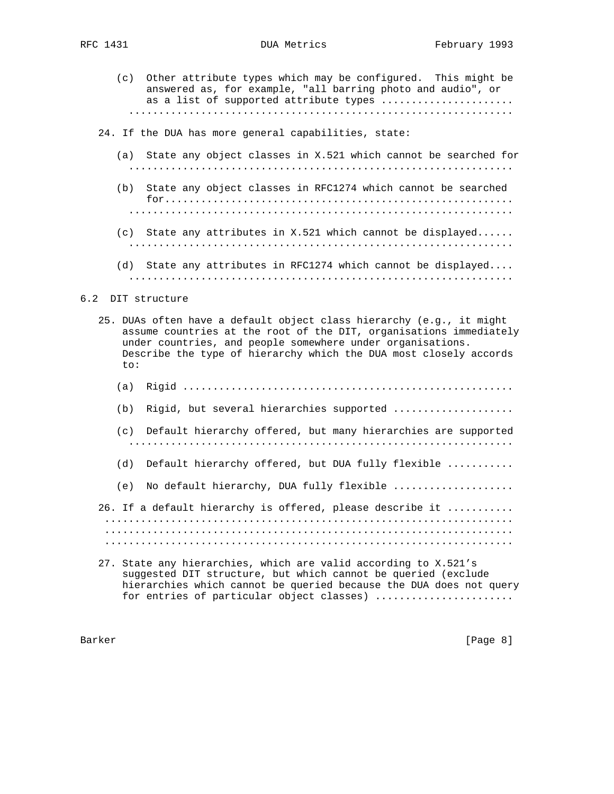- - (c) Other attribute types which may be configured. This might be answered as, for example, "all barring photo and audio", or as a list of supported attribute types ..................... ................................................................
	- 24. If the DUA has more general capabilities, state:
		- (a) State any object classes in X.521 which cannot be searched for ................................................................
		- (b) State any object classes in RFC1274 which cannot be searched for.......................................................... ................................................................ (c) State any attributes in X.521 which cannot be displayed......
		- (d) State any attributes in RFC1274 which cannot be displayed....

................................................................

- ................................................................
- 6.2 DIT structure
	- 25. DUAs often have a default object class hierarchy (e.g., it might assume countries at the root of the DIT, organisations immediately under countries, and people somewhere under organisations. Describe the type of hierarchy which the DUA most closely accords to:
		- (a) Rigid .......................................................
		- (b) Rigid, but several hierarchies supported ...................
		- (c) Default hierarchy offered, but many hierarchies are supported ................................................................
		- (d) Default hierarchy offered, but DUA fully flexible ...........
		- (e) No default hierarchy, DUA fully flexible ....................
	- 26. If a default hierarchy is offered, please describe it ........... .................................................................... .................................................................... ....................................................................
	- 27. State any hierarchies, which are valid according to X.521's suggested DIT structure, but which cannot be queried (exclude hierarchies which cannot be queried because the DUA does not query for entries of particular object classes) ......................

Barker [Page 8] [Page 8] [Page 8] [Page 8] [Page 8] [Page 8] [Page 8] [Page 8] [Page 8] [Page 8] [Page 8] [Page 8] [Page 8] [Page 8] [Page 8] [Page 8] [Page 8] [Page 8] [Page 8] [Page 8] [Page 8] [Page 8] [Page 8] [Page 8]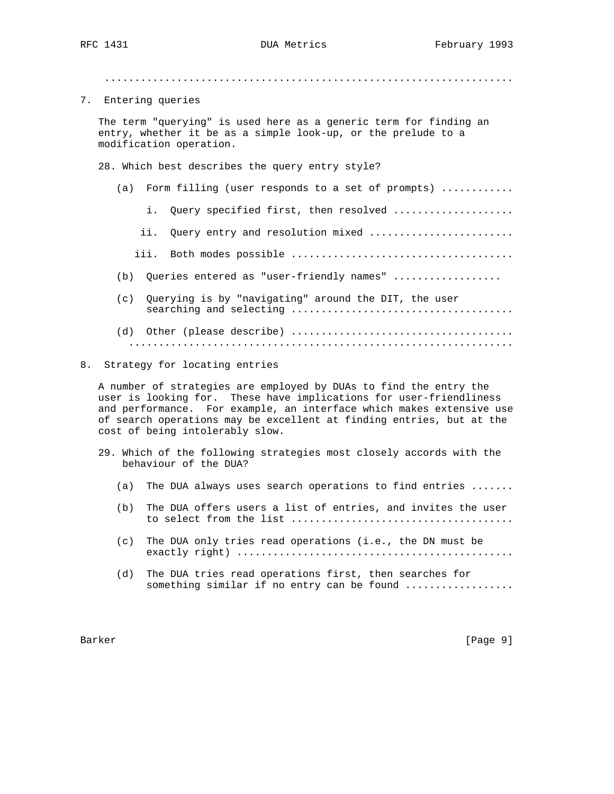....................................................................

7. Entering queries

 The term "querying" is used here as a generic term for finding an entry, whether it be as a simple look-up, or the prelude to a modification operation.

- 28. Which best describes the query entry style?
	- (a) Form filling (user responds to a set of prompts) ............
		- i. Query specified first, then resolved ...................
		- ii. Query entry and resolution mixed ........................
		- iii. Both modes possible .....................................
	- (b) Queries entered as "user-friendly names" ..................
	- (c) Querying is by "navigating" around the DIT, the user searching and selecting .....................................
	- (d) Other (please describe) ..................................... ................................................................
- 8. Strategy for locating entries

 A number of strategies are employed by DUAs to find the entry the user is looking for. These have implications for user-friendliness and performance. For example, an interface which makes extensive use of search operations may be excellent at finding entries, but at the cost of being intolerably slow.

- 29. Which of the following strategies most closely accords with the behaviour of the DUA?
	- (a) The DUA always uses search operations to find entries .......
	- (b) The DUA offers users a list of entries, and invites the user to select from the list .....................................
	- (c) The DUA only tries read operations (i.e., the DN must be exactly right) ..............................................
	- (d) The DUA tries read operations first, then searches for something similar if no entry can be found .................

Barker [Page 9]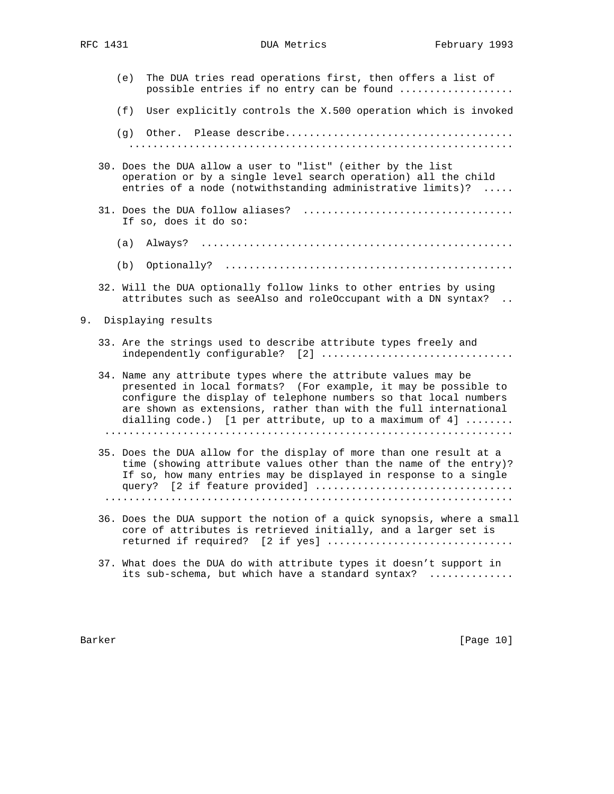|    | (e) | The DUA tries read operations first, then offers a list of<br>possible entries if no entry can be found                                                                                                                                                                                                                              |
|----|-----|--------------------------------------------------------------------------------------------------------------------------------------------------------------------------------------------------------------------------------------------------------------------------------------------------------------------------------------|
|    | (f) | User explicitly controls the X.500 operation which is invoked                                                                                                                                                                                                                                                                        |
|    |     |                                                                                                                                                                                                                                                                                                                                      |
|    |     | 30. Does the DUA allow a user to "list" (either by the list<br>operation or by a single level search operation) all the child<br>entries of a node (notwithstanding administrative limits)?<br>$\ldots$ .                                                                                                                            |
|    |     | If so, does it do so:                                                                                                                                                                                                                                                                                                                |
|    | (a) |                                                                                                                                                                                                                                                                                                                                      |
|    | (b) |                                                                                                                                                                                                                                                                                                                                      |
|    |     | 32. Will the DUA optionally follow links to other entries by using<br>attributes such as seeAlso and roleOccupant with a DN syntax?                                                                                                                                                                                                  |
| 9. |     | Displaying results                                                                                                                                                                                                                                                                                                                   |
|    |     | 33. Are the strings used to describe attribute types freely and                                                                                                                                                                                                                                                                      |
|    |     | 34. Name any attribute types where the attribute values may be<br>presented in local formats? (For example, it may be possible to<br>configure the display of telephone numbers so that local numbers<br>are shown as extensions, rather than with the full international<br>dialling code.) [1 per attribute, up to a maximum of 4] |
|    |     | 35. Does the DUA allow for the display of more than one result at a<br>time (showing attribute values other than the name of the entry)?<br>If so, how many entries may be displayed in response to a single                                                                                                                         |
|    |     | 36. Does the DUA support the notion of a quick synopsis, where a small<br>core of attributes is retrieved initially, and a larger set is<br>returned if required? [2 if yes]                                                                                                                                                         |

 37. What does the DUA do with attribute types it doesn't support in its sub-schema, but which have a standard syntax? ..............

Barker [Page 10]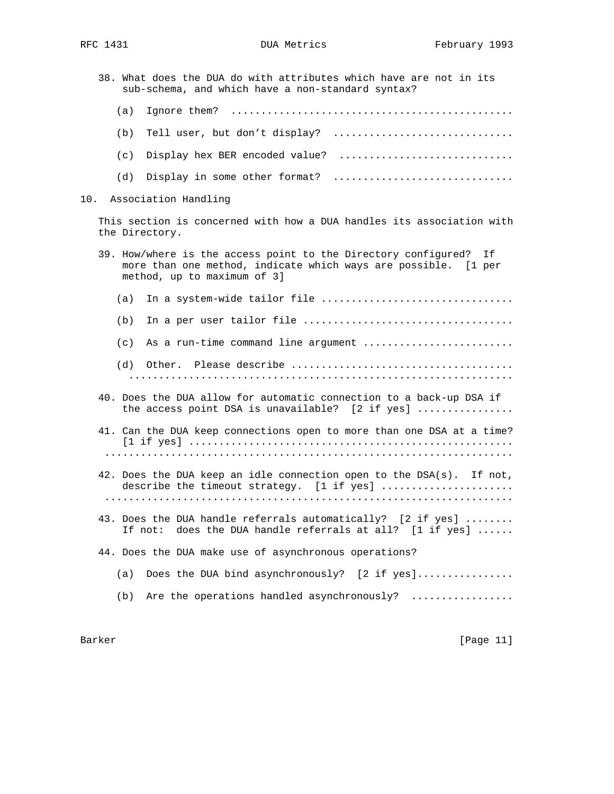38. What does the DUA do with attributes which have are not in its sub-schema, and which have a non-standard syntax? (a) Ignore them? ............................................... (b) Tell user, but don't display? ................................ (c) Display hex BER encoded value? .............................. (d) Display in some other format? ................................. 10. Association Handling This section is concerned with how a DUA handles its association with the Directory. 39. How/where is the access point to the Directory configured? If more than one method, indicate which ways are possible. [1 per method, up to maximum of 3] (a) In a system-wide tailor file  $\dots\dots\dots\dots\dots\dots\dots\dots\dots\dots\dots\dots\dots\dots\dots$ (b) In a per user tailor file  $\dots\dots\dots\dots\dots\dots\dots\dots\dots\dots\dots\dots\dots\dots\dots$  (c) As a run-time command line argument ......................... (d) Other. Please describe ..................................... ................................................................ 40. Does the DUA allow for automatic connection to a back-up DSA if the access point DSA is unavailable? [2 if yes] ................ 41. Can the DUA keep connections open to more than one DSA at a time? [1 if yes] ...................................................... .................................................................... 42. Does the DUA keep an idle connection open to the DSA(s). If not, describe the timeout strategy.  $[1 \text{ if yes}]$  ...................... .................................................................... 43. Does the DUA handle referrals automatically? [2 if yes] ........ If not: does the DUA handle referrals at all? [1 if yes] ...... 44. Does the DUA make use of asynchronous operations? (a) Does the DUA bind asynchronously? [2 if yes]................ (b) Are the operations handled asynchronously? .................

Barker [Page 11]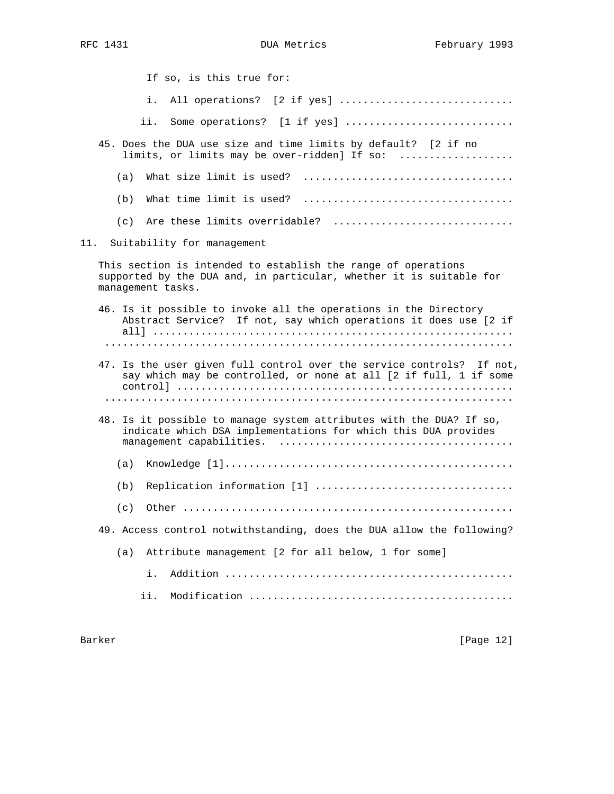If so, is this true for: i. All operations? [2 if yes] ............................... ii. Some operations? [1 if yes] ............................. 45. Does the DUA use size and time limits by default? [2 if no limits, or limits may be over-ridden] If so: ................... (a) What size limit is used? ................................... (b) What time limit is used? ................................... (c) Are these limits overridable? ............................... 11. Suitability for management This section is intended to establish the range of operations supported by the DUA and, in particular, whether it is suitable for management tasks. 46. Is it possible to invoke all the operations in the Directory Abstract Service? If not, say which operations it does use [2 if all] ............................................................ .................................................................... 47. Is the user given full control over the service controls? If not, say which may be controlled, or none at all [2 if full, 1 if some control] ........................................................ .................................................................... 48. Is it possible to manage system attributes with the DUA? If so, indicate which DSA implementations for which this DUA provides management capabilities. ....................................... (a) Knowledge [1]................................................ (b) Replication information [1] ................................. (c) Other ....................................................... 49. Access control notwithstanding, does the DUA allow the following? (a) Attribute management [2 for all below, 1 for some] i. Addition ................................................ ii. Modification ............................................

Barker [Page 12]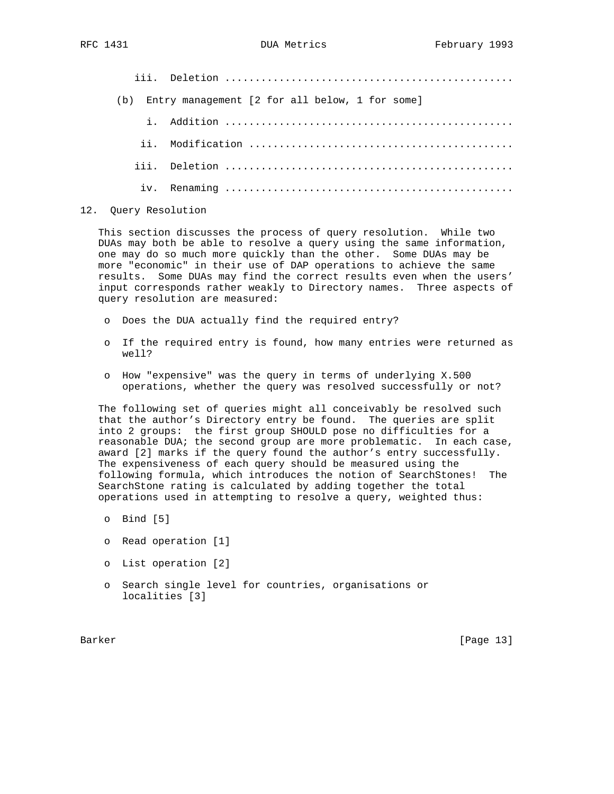iii. Deletion ................................................ (b) Entry management [2 for all below, 1 for some] i. Addition ................................................ ii. Modification ............................................ iii. Deletion ................................................ iv. Renaming ................................................

### 12. Query Resolution

 This section discusses the process of query resolution. While two DUAs may both be able to resolve a query using the same information, one may do so much more quickly than the other. Some DUAs may be more "economic" in their use of DAP operations to achieve the same results. Some DUAs may find the correct results even when the users' input corresponds rather weakly to Directory names. Three aspects of query resolution are measured:

- o Does the DUA actually find the required entry?
- o If the required entry is found, how many entries were returned as well?
- o How "expensive" was the query in terms of underlying X.500 operations, whether the query was resolved successfully or not?

 The following set of queries might all conceivably be resolved such that the author's Directory entry be found. The queries are split into 2 groups: the first group SHOULD pose no difficulties for a reasonable DUA; the second group are more problematic. In each case, award [2] marks if the query found the author's entry successfully. The expensiveness of each query should be measured using the following formula, which introduces the notion of SearchStones! The SearchStone rating is calculated by adding together the total operations used in attempting to resolve a query, weighted thus:

- o Bind [5]
- o Read operation [1]
- o List operation [2]
- o Search single level for countries, organisations or localities [3]

Barker [Page 13]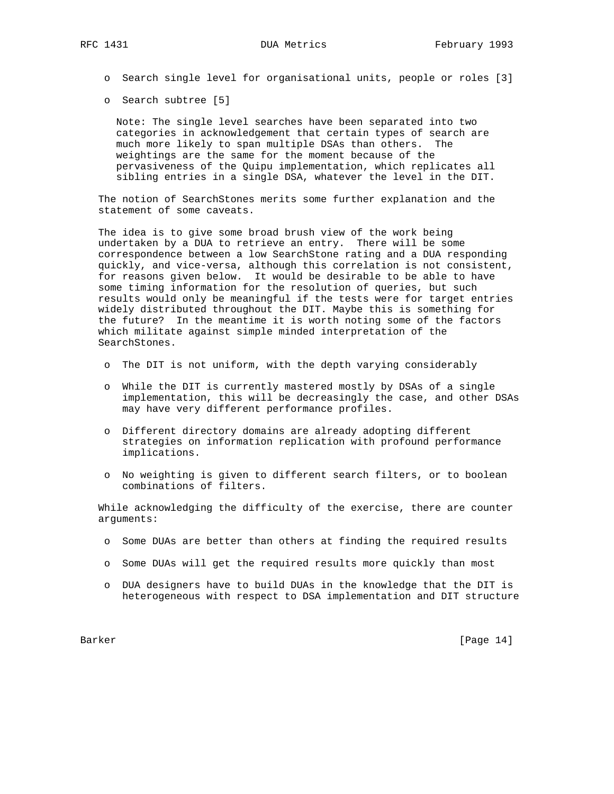o Search single level for organisational units, people or roles [3]

o Search subtree [5]

 Note: The single level searches have been separated into two categories in acknowledgement that certain types of search are much more likely to span multiple DSAs than others. The weightings are the same for the moment because of the pervasiveness of the Quipu implementation, which replicates all sibling entries in a single DSA, whatever the level in the DIT.

 The notion of SearchStones merits some further explanation and the statement of some caveats.

 The idea is to give some broad brush view of the work being undertaken by a DUA to retrieve an entry. There will be some correspondence between a low SearchStone rating and a DUA responding quickly, and vice-versa, although this correlation is not consistent, for reasons given below. It would be desirable to be able to have some timing information for the resolution of queries, but such results would only be meaningful if the tests were for target entries widely distributed throughout the DIT. Maybe this is something for the future? In the meantime it is worth noting some of the factors which militate against simple minded interpretation of the SearchStones.

- o The DIT is not uniform, with the depth varying considerably
- o While the DIT is currently mastered mostly by DSAs of a single implementation, this will be decreasingly the case, and other DSAs may have very different performance profiles.
- o Different directory domains are already adopting different strategies on information replication with profound performance implications.
- o No weighting is given to different search filters, or to boolean combinations of filters.

 While acknowledging the difficulty of the exercise, there are counter arguments:

- o Some DUAs are better than others at finding the required results
- o Some DUAs will get the required results more quickly than most
- o DUA designers have to build DUAs in the knowledge that the DIT is heterogeneous with respect to DSA implementation and DIT structure

Barker [Page 14]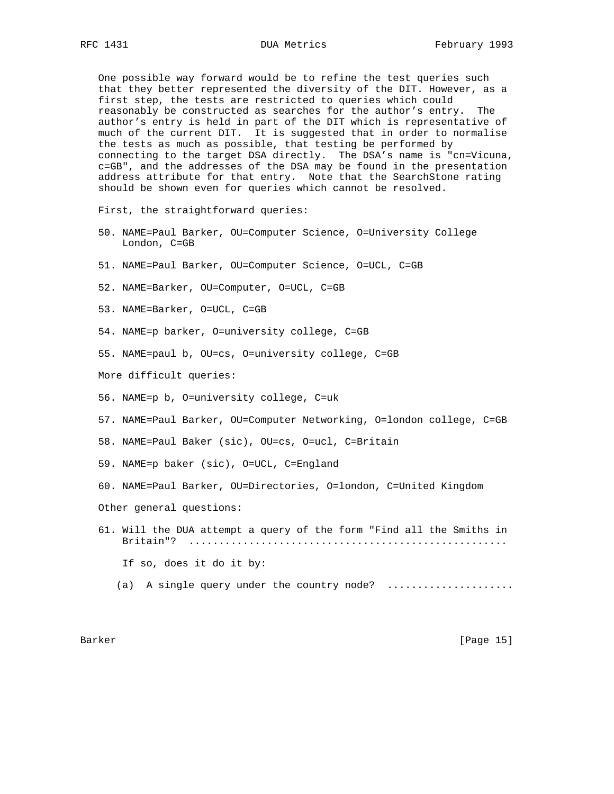One possible way forward would be to refine the test queries such that they better represented the diversity of the DIT. However, as a first step, the tests are restricted to queries which could reasonably be constructed as searches for the author's entry. The author's entry is held in part of the DIT which is representative of much of the current DIT. It is suggested that in order to normalise the tests as much as possible, that testing be performed by connecting to the target DSA directly. The DSA's name is "cn=Vicuna, c=GB", and the addresses of the DSA may be found in the presentation address attribute for that entry. Note that the SearchStone rating should be shown even for queries which cannot be resolved.

First, the straightforward queries:

- 50. NAME=Paul Barker, OU=Computer Science, O=University College London, C=GB
- 51. NAME=Paul Barker, OU=Computer Science, O=UCL, C=GB
- 52. NAME=Barker, OU=Computer, O=UCL, C=GB
- 53. NAME=Barker, O=UCL, C=GB
- 54. NAME=p barker, O=university college, C=GB
- 55. NAME=paul b, OU=cs, O=university college, C=GB
- More difficult queries:
- 56. NAME=p b, O=university college, C=uk
- 57. NAME=Paul Barker, OU=Computer Networking, O=london college, C=GB
- 58. NAME=Paul Baker (sic), OU=cs, O=ucl, C=Britain
- 59. NAME=p baker (sic), O=UCL, C=England
- 60. NAME=Paul Barker, OU=Directories, O=london, C=United Kingdom Other general questions:
- 61. Will the DUA attempt a query of the form "Find all the Smiths in Britain"? ..................................................... If so, does it do it by:
	- (a) A single query under the country node? ....................

## Barker [Page 15]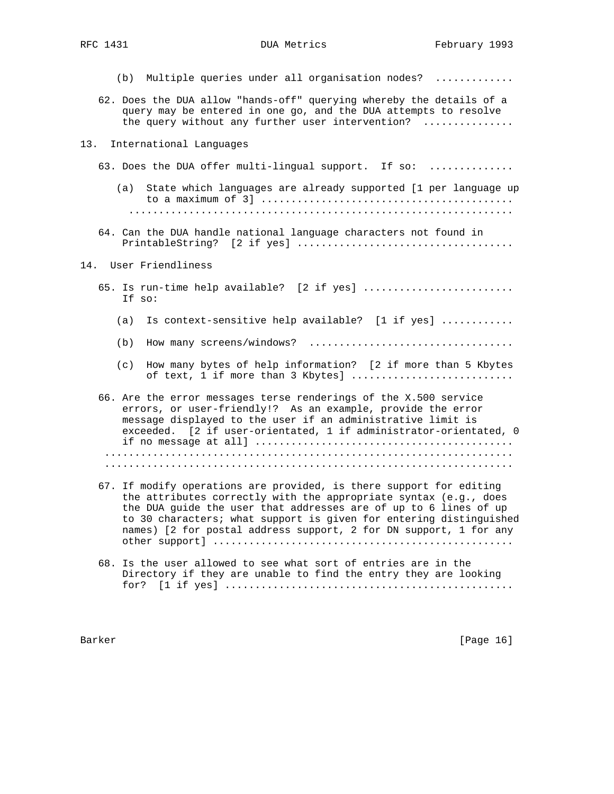- (b) Multiple queries under all organisation nodes? .............
- 62. Does the DUA allow "hands-off" querying whereby the details of a query may be entered in one go, and the DUA attempts to resolve the query without any further user intervention? ..............

#### 13. International Languages

- 63. Does the DUA offer multi-lingual support. If so: ..............
	- (a) State which languages are already supported [1 per language up to a maximum of 3] .......................................... ................................................................
- 64. Can the DUA handle national language characters not found in PrintableString? [2 if yes] ....................................

## 14. User Friendliness

- 65. Is run-time help available? [2 if yes] .......................... If so:
	- (a) Is context-sensitive help available? [1 if yes] ............
	- (b) How many screens/windows? ..................................
	- (c) How many bytes of help information? [2 if more than 5 Kbytes of text, 1 if more than 3 Kbytes] ...........................
- 66. Are the error messages terse renderings of the X.500 service errors, or user-friendly!? As an example, provide the error message displayed to the user if an administrative limit is exceeded. [2 if user-orientated, 1 if administrator-orientated, 0 if no message at all] ........................................... .................................................................... ....................................................................
- 67. If modify operations are provided, is there support for editing the attributes correctly with the appropriate syntax (e.g., does the DUA guide the user that addresses are of up to 6 lines of up to 30 characters; what support is given for entering distinguished names) [2 for postal address support, 2 for DN support, 1 for any other support] ..................................................
- 68. Is the user allowed to see what sort of entries are in the Directory if they are unable to find the entry they are looking for? [1 if yes] ................................................

Barker [Page 16]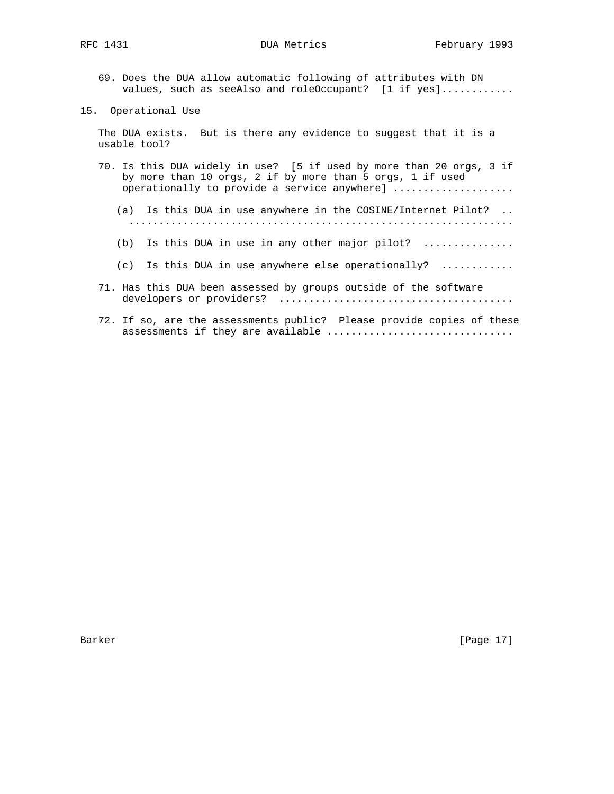- 69. Does the DUA allow automatic following of attributes with DN values, such as seeAlso and roleOccupant? [1 if yes]............
- 15. Operational Use

 The DUA exists. But is there any evidence to suggest that it is a usable tool?

- 70. Is this DUA widely in use? [5 if used by more than 20 orgs, 3 if by more than 10 orgs, 2 if by more than 5 orgs, 1 if used operationally to provide a service anywhere] ...................
	- (a) Is this DUA in use anywhere in the COSINE/Internet Pilot? .. ................................................................
	- (b) Is this DUA in use in any other major pilot? ...............
	- (c) Is this DUA in use anywhere else operationally? ............
- 71. Has this DUA been assessed by groups outside of the software developers or providers? .......................................
- 72. If so, are the assessments public? Please provide copies of these assessments if they are available ................................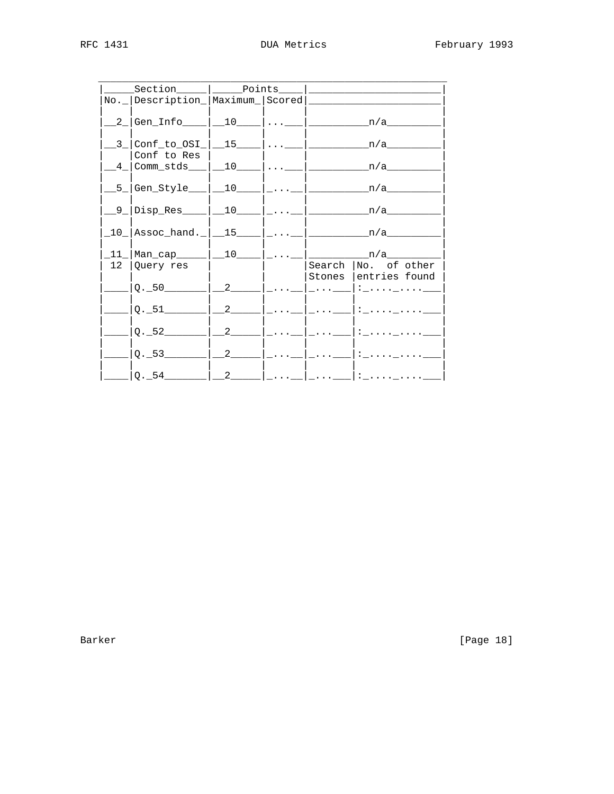| ______Section______ ________Points_____                  |                                    |          |                                                       |  |  |
|----------------------------------------------------------|------------------------------------|----------|-------------------------------------------------------|--|--|
| No. _   Description_  Maximum_  Scored                   |                                    |          |                                                       |  |  |
|                                                          |                                    |          | _2_ Gen_Info____ __10____ __ ___________n/a________   |  |  |
| Conf to Res                                              |                                    |          |                                                       |  |  |
| _4_ Comm_stds___ __10____ __ ____________n/a______       |                                    |          |                                                       |  |  |
|                                                          |                                    |          |                                                       |  |  |
|                                                          |                                    |          |                                                       |  |  |
| _10_ Assoc_hand._ __15____ ___ ____________n/a_______    |                                    |          |                                                       |  |  |
| _11_ Man_cap_____ __10____ ___ _____________n/a_________ |                                    |          |                                                       |  |  |
| 12   Query res<br>$Q.-50$ $2$                            |                                    | $\cdots$ | Search No. of other<br>Stones lentries found<br>    : |  |  |
|                                                          | $\begin{array}{ccc} \end{array}$ 2 |          |                                                       |  |  |
| $Q.-52$                                                  | $2^{\circ}$                        |          |                                                       |  |  |
|                                                          |                                    |          | $Q.$ _53 _______   __2 _____   _ __   _ ___   : _ __  |  |  |
| $ Q.-54\rangle$ $ 2\rangle$                              |                                    |          | :                                                     |  |  |

Barker

[Page 18]